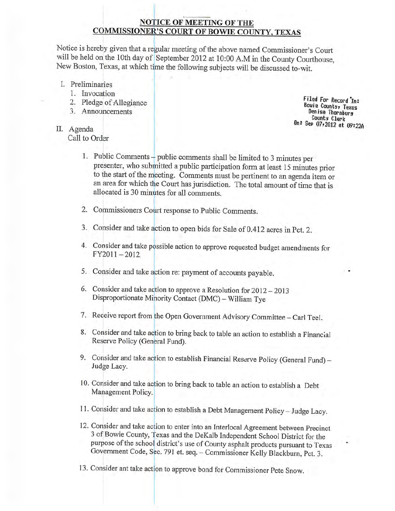# **NOTICE OF MEETING OF THE COMMISSIONER'S COURT OF BOWIE COUNTY, TEXAS**

Notice is hereby given that a regular meeting of the above named Commissioner's Court will be held on the 10th day of September 2012 at 10:00 A.M in the County Courthouse, New Boston, Texas, at which time the following subjects will be discussed to-wit.

- I. Preliminaries
	- 1. Invocation
	- 2. Pledge of Allegiance
	- 3. Announcements
- II. Agenda

Call to Order

Filed For Record In: **Bowie Counts, Texas** Denise Thornburg County Clerk On: Sep 07,2012 at 09:22A

- 1. Public Comments public comments shall be limited to 3 minutes per presenter, who submitted a public participation form at least 15 minutes prior to the start of the meeting. Comments must be pertinent to an agenda item or an area for which the Court has jurisdiction. The total amount of time that is allocated is 30 minutes for all comments.
- 2. Commissioners Court response to Public Comments.
- 3. Consider and take action to open bids for Sale of 0.412 acres in Pct. 2.
- 4. Consider and take possible action to approve requested budget amendments for  $FY2011-2012$
- 5. Consider and take action re: payment of accounts payable.
- 6. Consider and take action to approve a Resolution for 2012 2013 Disproportionate Minority Contact (DMC) - William Tye
- 7. Receive report from the Open Government Advisory Committee Carl Teel.
- 8. Consider and take action to bring back to table an action to establish a Financial Reserve Policy (General Fund).
- 9. Consider and take action to establish Financial Reserve Policy (General Fund) -Judge Lacy.
- 10. Consider and take action to bring back to table an action to establish a Debt Management Policy.
- 11. Consider and take action to establish a Debt Management Policy Judge Lacy.
- 12. Consider and take action to enter into an Interlocal Agreement between Precinct 3 of Bowie County, Texas and the DeKalb Independent School District for the purpose of the school district's use of County asphalt products pursuant to Texas Government Code, Sec. 791 et. seq. - Commissioner Kelly Blackburn, Pct. 3.
- 13. Consider ant take action to approve bond for Commissioner Pete Snow.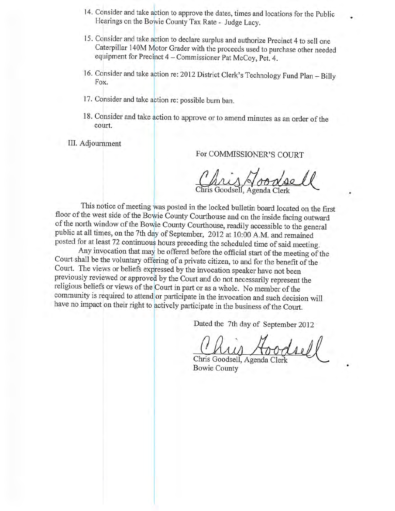- 14. Consider and take action to approve the dates, times and locations for the Public Hearings on the Bowie County Tax Rate - Judge Lacy.
- 15. Consider and take action to declare surplus and authorize Precinct 4 to sell one Caterpillar 140M Motor Grader with the proceeds used to purchase other needed equipment for Precinct 4 - Commissioner Pat McCoy, Pct. 4.
- 16. Consider and take action re: 2012 District Clerk's Technology Fund Plan Billy Fox.
- 17. Consider and take action re: possible burn ban.
- 18. Consider and take action to approve or to amend minutes as an order of the court.

III. Adjournment

For COMMISSIONER'S COURT

Goodsell, Agenda Clerk

This notice of meeting was posted in the locked bulletin board located on the first floor of the west side of the Bowie County Courthouse and on the inside facing outward of the north window of the Bowie County Courthouse, readily accessible to the general public at all times, on the 7th day of September, 2012 at 10:00 A.M. and remained posted for at least 72 continuous hours preceding the scheduled time of said meeting.

Any invocation that may be offered before the official start of the meeting of the Court shall be the voluntary offering of a private citizen, to and for the benefit of the Court. The views or beliefs expressed by the invocation speaker have not been previously reviewed or approved by the Court and do not necessarily represent the religious beliefs or views of the Court in part or as a whole. No member of the community is required to attend or participate in the invocation and such decision will have no impact on their right to actively participate in the business of the Court.

Dated the 7th day of September 2012

Chris Goodsell, Agenda Clerk **Bowie County**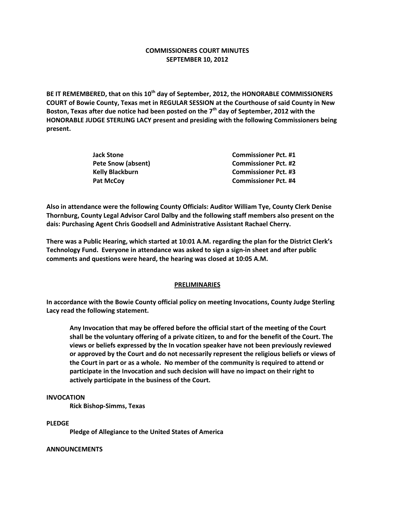## **COMMISSIONERS COURT MINUTES SEPTEMBER 10, 2012**

**BE IT REMEMBERED, that on this 10th day of September, 2012, the HONORABLE COMMISSIONERS COURT of Bowie County, Texas met in REGULAR SESSION at the Courthouse of said County in New Boston, Texas after due notice had been posted on the 7th day of September, 2012 with the HONORABLE JUDGE STERLING LACY present and presiding with the following Commissioners being present.**

| <b>Jack Stone</b>      | <b>Commissioner Pct. #1</b> |
|------------------------|-----------------------------|
| Pete Snow (absent)     | <b>Commissioner Pct. #2</b> |
| <b>Kelly Blackburn</b> | <b>Commissioner Pct. #3</b> |
| <b>Pat McCoy</b>       | <b>Commissioner Pct. #4</b> |

**Also in attendance were the following County Officials: Auditor William Tye, County Clerk Denise Thornburg, County Legal Advisor Carol Dalby and the following staff members also present on the dais: Purchasing Agent Chris Goodsell and Administrative Assistant Rachael Cherry.**

**There was a Public Hearing, which started at 10:01 A.M. regarding the plan for the District Clerk's Technology Fund. Everyone in attendance was asked to sign a sign-in sheet and after public comments and questions were heard, the hearing was closed at 10:05 A.M.**

### **PRELIMINARIES**

**In accordance with the Bowie County official policy on meeting Invocations, County Judge Sterling Lacy read the following statement.**

**Any Invocation that may be offered before the official start of the meeting of the Court shall be the voluntary offering of a private citizen, to and for the benefit of the Court. The views or beliefs expressed by the In vocation speaker have not been previously reviewed or approved by the Court and do not necessarily represent the religious beliefs or views of the Court in part or as a whole. No member of the community is required to attend or participate in the Invocation and such decision will have no impact on their right to actively participate in the business of the Court.**

#### **INVOCATION**

**Rick Bishop-Simms, Texas**

**PLEDGE**

**Pledge of Allegiance to the United States of America**

#### **ANNOUNCEMENTS**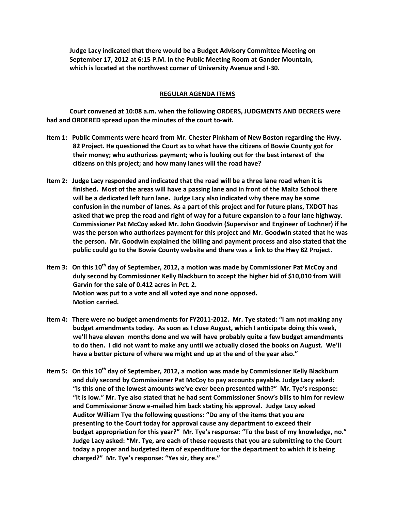**Judge Lacy indicated that there would be a Budget Advisory Committee Meeting on September 17, 2012 at 6:15 P.M. in the Public Meeting Room at Gander Mountain, which is located at the northwest corner of University Avenue and I-30.**

### **REGULAR AGENDA ITEMS**

**Court convened at 10:08 a.m. when the following ORDERS, JUDGMENTS AND DECREES were had and ORDERED spread upon the minutes of the court to-wit.**

- **Item 1: Public Comments were heard from Mr. Chester Pinkham of New Boston regarding the Hwy. 82 Project. He questioned the Court as to what have the citizens of Bowie County got for their money; who authorizes payment; who is looking out for the best interest of the citizens on this project; and how many lanes will the road have?**
- **Item 2: Judge Lacy responded and indicated that the road will be a three lane road when it is finished. Most of the areas will have a passing lane and in front of the Malta School there will be a dedicated left turn lane. Judge Lacy also indicated why there may be some confusion in the number of lanes. As a part of this project and for future plans, TXDOT has asked that we prep the road and right of way for a future expansion to a four lane highway. Commissioner Pat McCoy asked Mr. John Goodwin (Supervisor and Engineer of Lochner) if he was the person who authorizes payment for this project and Mr. Goodwin stated that he was the person. Mr. Goodwin explained the billing and payment process and also stated that the public could go to the Bowie County website and there was a link to the Hwy 82 Project.**
- **Item 3: On this 10th day of September, 2012, a motion was made by Commissioner Pat McCoy and duly second by Commissioner Kelly Blackburn to accept the higher bid of \$10,010 from Will Garvin for the sale of 0.412 acres in Pct. 2. Motion was put to a vote and all voted aye and none opposed. Motion carried.**
- **Item 4: There were no budget amendments for FY2011-2012. Mr. Tye stated: "I am not making any budget amendments today. As soon as I close August, which I anticipate doing this week, we'll have eleven months done and we will have probably quite a few budget amendments to do then. I did not want to make any until we actually closed the books on August. We'll have a better picture of where we might end up at the end of the year also."**
- **Item 5: On this 10th day of September, 2012, a motion was made by Commissioner Kelly Blackburn and duly second by Commissioner Pat McCoy to pay accounts payable. Judge Lacy asked: "Is this one of the lowest amounts we've ever been presented with?" Mr. Tye's response: "It is low." Mr. Tye also stated that he had sent Commissioner Snow's bills to him for review and Commissioner Snow e-mailed him back stating his approval. Judge Lacy asked Auditor William Tye the following questions: "Do any of the items that you are presenting to the Court today for approval cause any department to exceed their budget appropriation for this year?" Mr. Tye's response: "To the best of my knowledge, no." Judge Lacy asked: "Mr. Tye, are each of these requests that you are submitting to the Court today a proper and budgeted item of expenditure for the department to which it is being charged?" Mr. Tye's response: "Yes sir, they are."**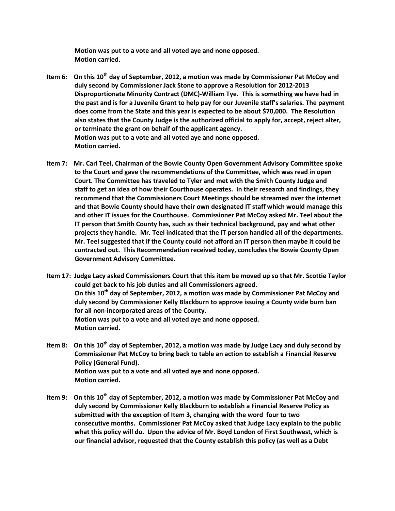**Motion was put to a vote and all voted aye and none opposed. Motion carried.**

- **Item 6: On this 10th day of September, 2012, a motion was made by Commissioner Pat McCoy and duly second by Commissioner Jack Stone to approve a Resolution for 2012-2013 Disproportionate Minority Contract (DMC)-William Tye. This is something we have had in the past and is for a Juvenile Grant to help pay for our Juvenile staff's salaries. The payment does come from the State and this year is expected to be about \$70,000. The Resolution also states that the County Judge is the authorized official to apply for, accept, reject alter, or terminate the grant on behalf of the applicant agency. Motion was put to a vote and all voted aye and none opposed. Motion carried.**
- **Item 7: Mr. Carl Teel, Chairman of the Bowie County Open Government Advisory Committee spoke to the Court and gave the recommendations of the Committee, which was read in open Court. The Committee has traveled to Tyler and met with the Smith County Judge and staff to get an idea of how their Courthouse operates. In their research and findings, they recommend that the Commissioners Court Meetings should be streamed over the internet and that Bowie County should have their own designated IT staff which would manage this and other IT issues for the Courthouse. Commissioner Pat McCoy asked Mr. Teel about the IT person that Smith County has, such as their technical background, pay and what other projects they handle. Mr. Teel indicated that the IT person handled all of the departments. Mr. Teel suggested that if the County could not afford an IT person then maybe it could be contracted out. This Recommendation received today, concludes the Bowie County Open Government Advisory Committee.**

**Item 17: Judge Lacy asked Commissioners Court that this item be moved up so that Mr. Scottie Taylor could get back to his job duties and all Commissioners agreed. On this 10th day of September, 2012, a motion was made by Commissioner Pat McCoy and duly second by Commissioner Kelly Blackburn to approve issuing a County wide burn ban for all non-incorporated areas of the County. Motion was put to a vote and all voted aye and none opposed. Motion carried.**

- **Item 8: On this 10th day of September, 2012, a motion was made by Judge Lacy and duly second by Commissioner Pat McCoy to bring back to table an action to establish a Financial Reserve Policy (General Fund). Motion was put to a vote and all voted aye and none opposed. Motion carried.**
- **Item 9: On this 10th day of September, 2012, a motion was made by Commissioner Pat McCoy and duly second by Commissioner Kelly Blackburn to establish a Financial Reserve Policy as submitted with the exception of Item 3, changing with the word four to two consecutive months. Commissioner Pat McCoy asked that Judge Lacy explain to the public what this policy will do. Upon the advice of Mr. Boyd London of First Southwest, which is our financial advisor, requested that the County establish this policy (as well as a Debt**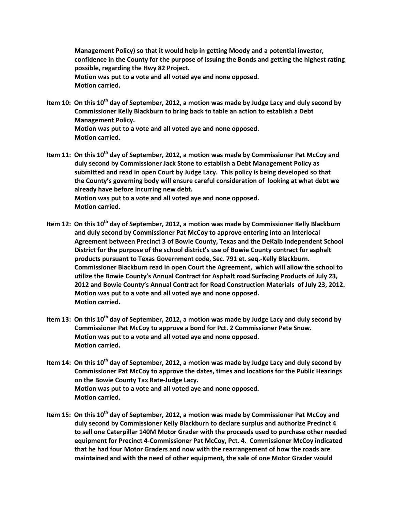**Management Policy) so that it would help in getting Moody and a potential investor, confidence in the County for the purpose of issuing the Bonds and getting the highest rating possible, regarding the Hwy 82 Project. Motion was put to a vote and all voted aye and none opposed. Motion carried.**

- **Item 10: On this 10th day of September, 2012, a motion was made by Judge Lacy and duly second by Commissioner Kelly Blackburn to bring back to table an action to establish a Debt Management Policy. Motion was put to a vote and all voted aye and none opposed. Motion carried.**
- **Item 11: On this 10th day of September, 2012, a motion was made by Commissioner Pat McCoy and duly second by Commissioner Jack Stone to establish a Debt Management Policy as submitted and read in open Court by Judge Lacy. This policy is being developed so that the County's governing body will ensure careful consideration of looking at what debt we already have before incurring new debt. Motion was put to a vote and all voted aye and none opposed. Motion carried.**
- **Item 12: On this 10th day of September, 2012, a motion was made by Commissioner Kelly Blackburn and duly second by Commissioner Pat McCoy to approve entering into an Interlocal Agreement between Precinct 3 of Bowie County, Texas and the DeKalb Independent School District for the purpose of the school district's use of Bowie County contract for asphalt products pursuant to Texas Government code, Sec. 791 et. seq.-Kelly Blackburn. Commissioner Blackburn read in open Court the Agreement, which will allow the school to utilize the Bowie County's Annual Contract for Asphalt road Surfacing Products of July 23, 2012 and Bowie County's Annual Contract for Road Construction Materials of July 23, 2012. Motion was put to a vote and all voted aye and none opposed. Motion carried.**
- **Item 13: On this 10th day of September, 2012, a motion was made by Judge Lacy and duly second by Commissioner Pat McCoy to approve a bond for Pct. 2 Commissioner Pete Snow. Motion was put to a vote and all voted aye and none opposed. Motion carried.**
- **Item 14: On this 10th day of September, 2012, a motion was made by Judge Lacy and duly second by Commissioner Pat McCoy to approve the dates, times and locations for the Public Hearings on the Bowie County Tax Rate-Judge Lacy. Motion was put to a vote and all voted aye and none opposed. Motion carried.**
- **Item 15: On this 10th day of September, 2012, a motion was made by Commissioner Pat McCoy and duly second by Commissioner Kelly Blackburn to declare surplus and authorize Precinct 4 to sell one Caterpillar 140M Motor Grader with the proceeds used to purchase other needed equipment for Precinct 4-Commissioner Pat McCoy, Pct. 4. Commissioner McCoy indicated that he had four Motor Graders and now with the rearrangement of how the roads are maintained and with the need of other equipment, the sale of one Motor Grader would**